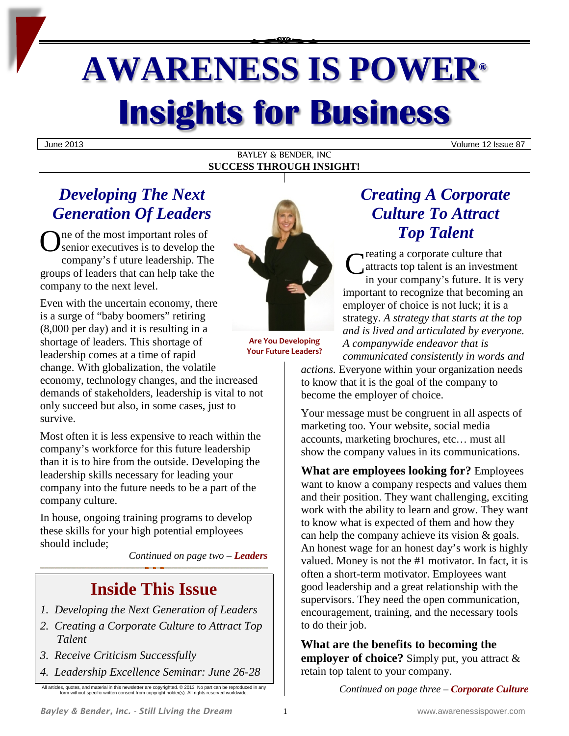# **AWARENESS IS POWER® Insights for Business**

June 2013 Volume 12 Issue 87

BAYLEY & BENDER, INC **SUCCESS THROUGH INSIGHT!**

# *Developing The Next Generation Of Leaders*

ne of the most important roles of senior executives is to develop the company's f uture leadership. The groups of leaders that can help take the company to the next level. O

Even with the uncertain economy, there is a surge of "baby boomers" retiring (8,000 per day) and it is resulting in a shortage of leaders. This shortage of leadership comes at a time of rapid change. With globalization, the volatile

economy, technology changes, and the increased demands of stakeholders, leadership is vital to not only succeed but also, in some cases, just to survive.

Most often it is less expensive to reach within the company's workforce for this future leadership than it is to hire from the outside. Developing the leadership skills necessary for leading your company into the future needs to be a part of the company culture.

In house, ongoing training programs to develop these skills for your high potential employees should include;

*Continued on page two – Leaders*

# **Inside This Issue**

- *1. Developing the Next Generation of Leaders*
- *2. Creating a Corporate Culture to Attract Top Talent*
- *3. Receive Criticism Successfully*
- *4. Leadership Excellence Seminar: June 26-28*

All articles, quotes, and material in this newsletter are copyrighted. © 2013. No part can be reproduced in any form without specific written consent from copyright holder(s). All rights reserved worldwide.



**Are You Developing Your Future Leaders?**

# *Creating A Corporate Culture To Attract Top Talent*

reating a corporate culture that attracts top talent is an investment in your company's future. It is very important to recognize that becoming an employer of choice is not luck; it is a strategy. *A strategy that starts at the top and is lived and articulated by everyone. A companywide endeavor that is communicated consistently in words and*  C

*actions.* Everyone within your organization needs to know that it is the goal of the company to become the employer of choice.

Your message must be congruent in all aspects of marketing too. Your website, social media accounts, marketing brochures, etc… must all show the company values in its communications.

**What are employees looking for?** Employees want to know a company respects and values them and their position. They want challenging, exciting work with the ability to learn and grow. They want to know what is expected of them and how they can help the company achieve its vision & goals. An honest wage for an honest day's work is highly valued. Money is not the #1 motivator. In fact, it is often a short-term motivator. Employees want good leadership and a great relationship with the supervisors. They need the open communication, encouragement, training, and the necessary tools to do their job.

**What are the benefits to becoming the employer of choice?** Simply put, you attract & retain top talent to your company.

*Continued on page three – Corporate Culture*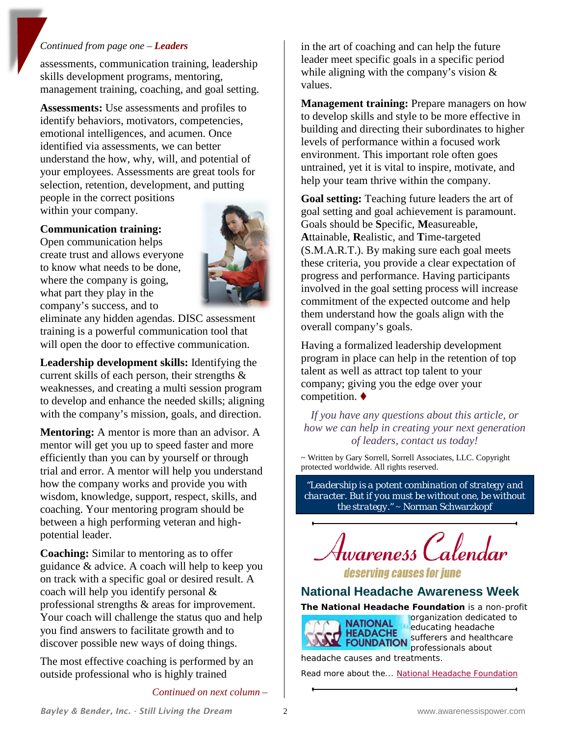#### *Continued from page one – Leaders*

assessments, communication training, leadership skills development programs, mentoring, management training, coaching, and goal setting.

**Assessments:** Use assessments and profiles to identify behaviors, motivators, competencies, emotional intelligences, and acumen. Once identified via assessments, we can better understand the how, why, will, and potential of your employees. Assessments are great tools for selection, retention, development, and putting people in the correct positions

within your company.

#### **Communication training:**

Open communication helps create trust and allows everyone to know what needs to be done, where the company is going, what part they play in the company's success, and to



eliminate any hidden agendas. DISC assessment training is a powerful communication tool that will open the door to effective communication.

**Leadership development skills:** Identifying the current skills of each person, their strengths & weaknesses, and creating a multi session program to develop and enhance the needed skills; aligning with the company's mission, goals, and direction.

**Mentoring:** A mentor is more than an advisor. A mentor will get you up to speed faster and more efficiently than you can by yourself or through trial and error. A mentor will help you understand how the company works and provide you with wisdom, knowledge, support, respect, skills, and coaching. Your mentoring program should be between a high performing veteran and highpotential leader.

**Coaching:** Similar to mentoring as to offer guidance & advice. A coach will help to keep you on track with a specific goal or desired result. A coach will help you identify personal & professional strengths & areas for improvement. Your coach will challenge the status quo and help you find answers to facilitate growth and to discover possible new ways of doing things.

The most effective coaching is performed by an outside professional who is highly trained

*Continued on next column –*

in the art of coaching and can help the future leader meet specific goals in a specific period while aligning with the company's vision & values.

**Management training:** Prepare managers on how to develop skills and style to be more effective in building and directing their subordinates to higher levels of performance within a focused work environment. This important role often goes untrained, yet it is vital to inspire, motivate, and help your team thrive within the company.

**Goal setting:** Teaching future leaders the art of goal setting and goal achievement is paramount. Goals should be **S**pecific, **M**easureable, **A**ttainable, **R**ealistic, and **T**ime-targeted (S.M.A.R.T.). By making sure each goal meets these criteria, you provide a clear expectation of progress and performance. Having participants involved in the goal setting process will increase commitment of the expected outcome and help them understand how the goals align with the overall company's goals.

Having a formalized leadership development program in place can help in the retention of top talent as well as attract top talent to your company; giving you the edge over your competition.  $\blacklozenge$ 

*If you have any questions about this article, or how we can help in creating your next generation of leaders, contact us today!*

~ Written by Gary Sorrell, Sorrell Associates, LLC. Copyright protected worldwide. All rights reserved.

*"Leadership is a potent combination of strategy and character. But if you must be without one, be without the strategy."* ~ Norman Schwarzkopf



deserving causes for june

## **National Headache Awareness Week**

**The National Headache Foundation** is a non-profit



organization dedicated to educating headache **EXPALATE Sufferers and healthcare** professionals about headache causes and treatments.

Read more about the... [National Headache Foundation](http://www.headaches.org/)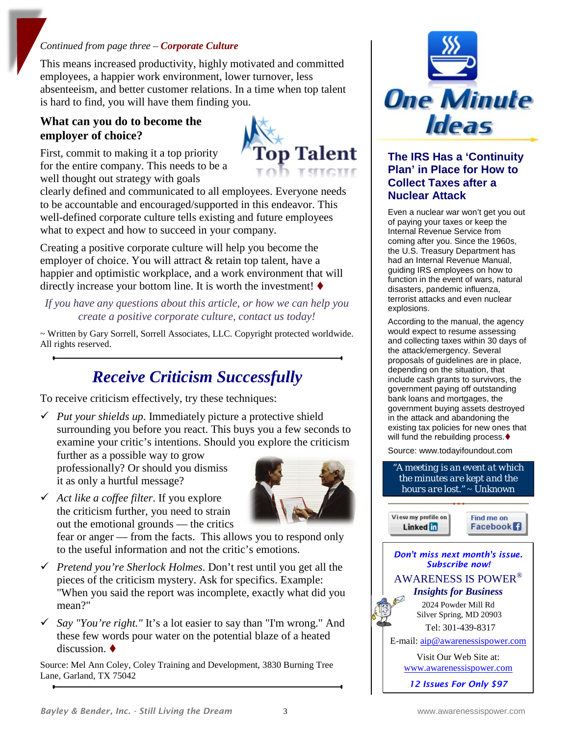#### *Continued from page three – Corporate Culture*

This means increased productivity, highly motivated and committed employees, a happier work environment, lower turnover, less absenteeism, and better customer relations. In a time when top talent is hard to find, you will have them finding you.

## **What can you do to become the employer of choice?**

First, commit to making it a top priority for the entire company. This needs to be a well thought out strategy with goals



clearly defined and communicated to all employees. Everyone needs to be accountable and encouraged/supported in this endeavor. This well-defined corporate culture tells existing and future employees what to expect and how to succeed in your company.

Creating a positive corporate culture will help you become the employer of choice. You will attract & retain top talent, have a happier and optimistic workplace, and a work environment that will directly increase your bottom line. It is worth the investment!  $\blacklozenge$ 

*If you have any questions about this article, or how we can help you create a positive corporate culture, contact us today!*

~ Written by Gary Sorrell, Sorrell Associates, LLC. Copyright protected worldwide. All rights reserved.

# *Receive Criticism Successfully*

To receive criticism effectively, try these techniques:

 $\checkmark$  *Put your shields up*. Immediately picture a protective shield surrounding you before you react. This buys you a few seconds to examine your critic's intentions. Should you explore the criticism

further as a possible way to grow professionally? Or should you dismiss it as only a hurtful message?



 *Act like a coffee filter*. If you explore the criticism further, you need to strain out the emotional grounds — the critics

fear or anger — from the facts. This allows you to respond only to the useful information and not the critic's emotions.

- *Pretend you're Sherlock Holmes*. Don't rest until you get all the pieces of the criticism mystery. Ask for specifics. Example: "When you said the report was incomplete, exactly what did you mean?"
- *Say "You're right."* It's a lot easier to say than "I'm wrong." And these few words pour water on the potential blaze of a heated discussion.

Source: Mel Ann Coley, Coley Training and Development, 3830 Burning Tree Lane, Garland, TX 75042



#### **The IRS Has a 'Continuity Plan' in Place for How to Collect Taxes after a Nuclear Attack**

Even a nuclear war won't get you out of paying your taxes or keep the Internal Revenue Service from coming after you. Since the 1960s, the U.S. Treasury Department has had an Internal Revenue Manual, guiding IRS employees on how to function in the event of wars, natural disasters, pandemic influenza, terrorist attacks and even nuclear explosions.

According to the manual, the agency would expect to resume assessing and collecting taxes within 30 days of the attack/emergency. Several proposals of guidelines are in place, depending on the situation, that include cash grants to survivors, the government paying off outstanding bank loans and mortgages, the government buying assets destroyed in the attack and abandoning the existing tax policies for new ones that will fund the rebuilding process.

Source: www.todayifoundout.com

*"A meeting is an event at which the minutes are kept and the hours are lost."* ~ Unknown